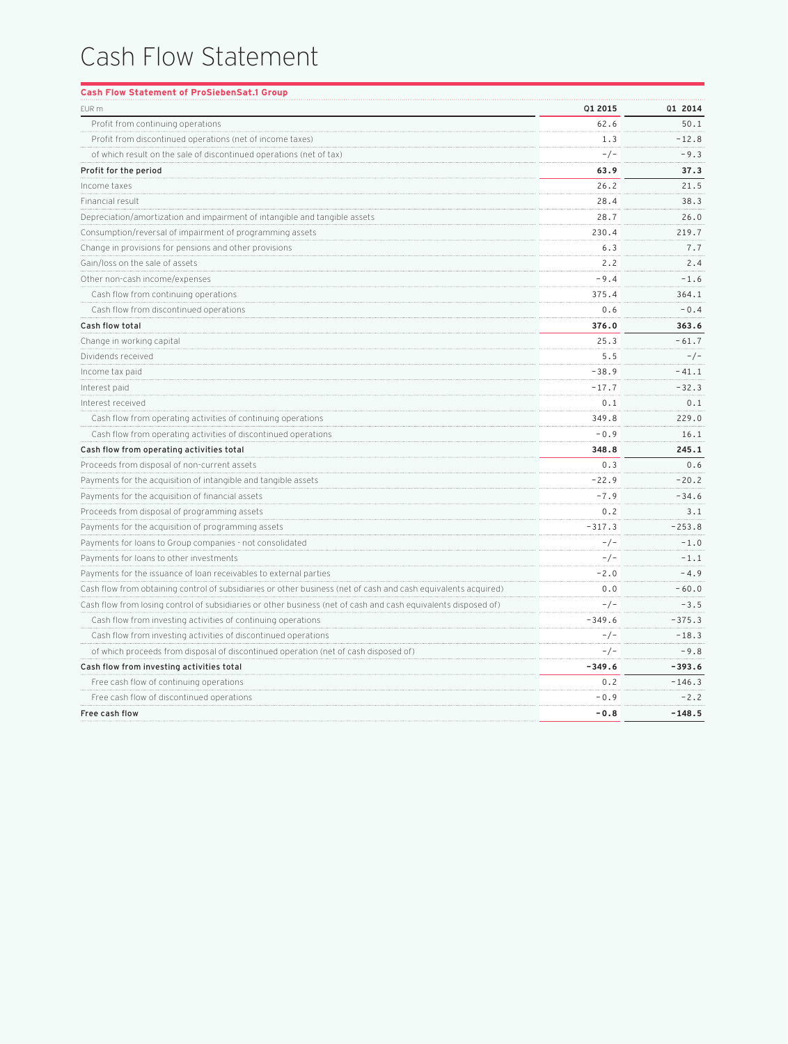## Cash Flow Statement

| <b>Cash Flow Statement of ProSiebenSat.1 Group</b>                                                             |          |          |
|----------------------------------------------------------------------------------------------------------------|----------|----------|
| EUR m                                                                                                          | Q1 2015  | 01 2014  |
| Profit from continuing operations                                                                              | 62.6     | 50.1     |
| Profit from discontinued operations (net of income taxes)                                                      | 1.3      | $-12.8$  |
| of which result on the sale of discontinued operations (net of tax)                                            | $-/-$    | $-9.3$   |
| Profit for the period                                                                                          | 63.9     | 37.3     |
| Income taxes                                                                                                   | 26.2     | 21.5     |
| Financial result                                                                                               | 28.4     | 38.3     |
| Depreciation/amortization and impairment of intangible and tangible assets                                     | 28.7     | 26.0     |
| Consumption/reversal of impairment of programming assets                                                       | 230.4    | 219.7    |
| Change in provisions for pensions and other provisions                                                         | 6.3      | 7.7      |
| Gain/loss on the sale of assets                                                                                | 2.2      | 2.4      |
| Other non-cash income/expenses                                                                                 | $-9.4$   | $-1.6$   |
| Cash flow from continuing operations                                                                           | 375.4    | 364.1    |
| Cash flow from discontinued operations                                                                         | 0.6      | $-0.4$   |
| Cash flow total                                                                                                | 376.0    | 363.6    |
| Change in working capital                                                                                      | 25.3     | $-61.7$  |
| Dividends received                                                                                             | 5.5      | $-/-$    |
| Income tax paid                                                                                                | $-38.9$  | $-41.1$  |
| Interest paid                                                                                                  | $-17.7$  | $-32.3$  |
| Interest received                                                                                              | 0.1      | 0.1      |
| Cash flow from operating activities of continuing operations                                                   | 349.8    | 229.0    |
| Cash flow from operating activities of discontinued operations                                                 | $-0.9$   | 16.1     |
| Cash flow from operating activities total                                                                      | 348.8    | 245.1    |
| Proceeds from disposal of non-current assets                                                                   | 0.3      | 0.6      |
| Payments for the acquisition of intangible and tangible assets                                                 | $-22.9$  | $-20.2$  |
| Payments for the acquisition of financial assets                                                               | $-7.9$   | $-34.6$  |
| Proceeds from disposal of programming assets                                                                   | 0.2      | 3.1      |
| Payments for the acquisition of programming assets                                                             | $-317.3$ | $-253.8$ |
| Payments for loans to Group companies - not consolidated                                                       | $-/-$    | $-1.0$   |
| Payments for loans to other investments                                                                        | $-/-$    | $-1.1$   |
| Payments for the issuance of loan receivables to external parties                                              | $-2.0$   | $-4.9$   |
| Cash flow from obtaining control of subsidiaries or other business (net of cash and cash equivalents acquired) | 0.0      | -60.0    |
| Cash flow from losing control of subsidiaries or other business (net of cash and cash equivalents disposed of) | $-/-$    | $-3.5$   |
| Cash flow from investing activities of continuing operations                                                   | $-349.6$ | $-375.3$ |
| Cash flow from investing activities of discontinued operations                                                 | $-/-$    | $-18.3$  |
| of which proceeds from disposal of discontinued operation (net of cash disposed of)                            | $-/-$    | $-9.8$   |
| Cash flow from investing activities total                                                                      | $-349.6$ | $-393.6$ |
| Free cash flow of continuing operations                                                                        | 0.2      | $-146.3$ |
| Free cash flow of discontinued operations                                                                      | $-0.9$   | $-2.2$   |
| Free cash flow                                                                                                 | $-0.8$   | $-148.5$ |
|                                                                                                                |          |          |